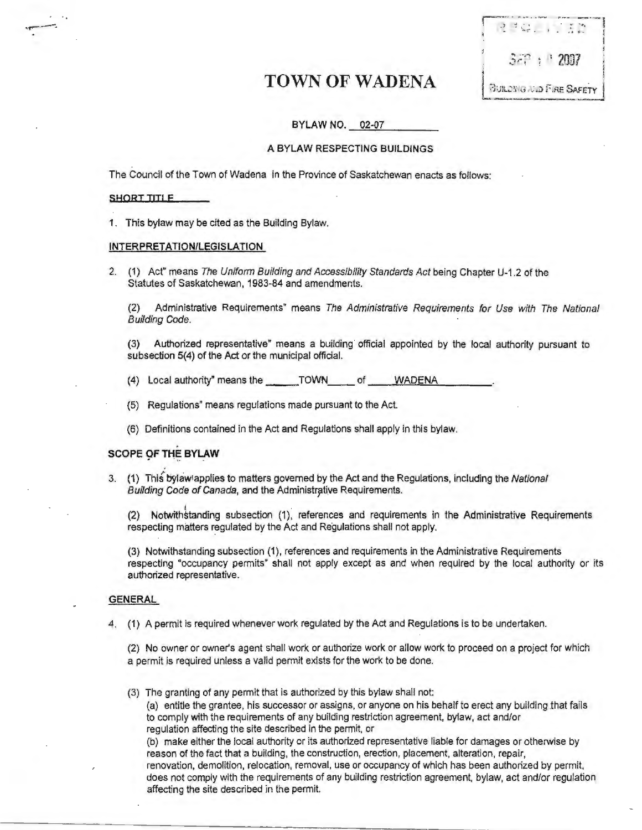TOWN OF WADENA

# **BYLAW NO. 02-07**

#### **A BYLAW RESPECTING BUILDINGS**

The Council of the Town of Wadena in the Province of Saskatchewan enacts as follows:

## **SHORT TITLE**

**1.** This bylaw may be cited as the Building Bylaw.

### **INTERPRETATION/LEGISLATION**

2. (1) Act" means The Uniform Building and Accessibility Standards Act being Chapter U-1.2 of the Statutes of Saskatchewan, 1983-84 and amendments.

(2) Administrative Requirements" means The Administrative Requirements for Use with The National Building Code.

(3) Authorized representative" means a building official appointed by the local authority pursuant to subsection 5(4) of the Act or the municipal official.

- (4) Local authority" means the \_\_\_\_\_\_TOWN \_\_\_\_ of \_\_\_\_\_ WADENA
- (5) Regulations" means regulations made pursuant to the Act.
- (6) Definitions contained in the Act and Regulations shall apply in this bylaw.

# **SCOPE OF THE BYLAW**  ,., ...

3. (1) This bylawiapplies to matters governed by the Act and the Regulations, including the National Building Code of Canada, and the Administrative Requirements.

(2) Notwithstanding subsection (1), references and requirements in the Administrative Requirements respecting matters regulated by the Act and Regulations shall not apply.

(3) Notwithstanding subsection (1 ), references and requirements in the Administrative Requirements respecting "occupancy permits" shall not apply except as and when required by the local authority or its authorized representative.

## **GENERAL**

4. (1) A permit is required whenever work regulated by the Act and Regulations is to be undertaken.

(2) No owner or owner's agent shall work or authorize work or allow work to proceed on a project for which a permit is required unless a valid permit exists for the work to be done.

{3) The granting of any permit that is authorized by this bylaw shall not:

(a) entitle the grantee, his successor or assigns, or anyone on his behalf to erect any building that fails to comply with the requirements of any building restriction agreement, bylaw, act and/or regulation affecting the site described in the permit, or

(b) make either the local authority or its authorized representative liable for damages or otherwise by reason of the fact that a building, the construction, erection, placement, alteration, repair, renovation, demolition, relocation, removal, use or occupancy of which has been authorized by permit, does not comply with the requirements of any building restriction agreement, bylaw, act and/or regulation affecting the site described in the permit.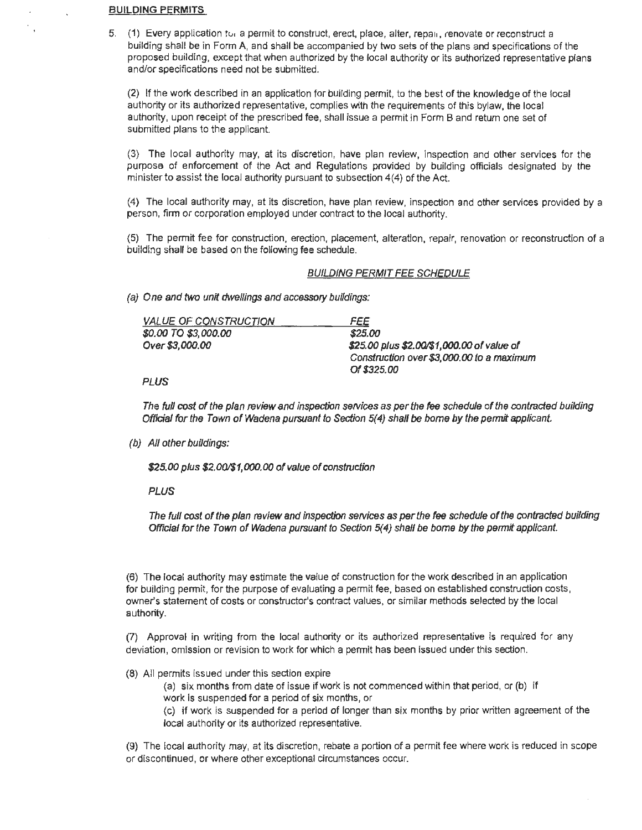### **BUILDING PERMITS**

5. (1) Every application to a permit to construct, erect, place, alter, repail, renovate or reconstruct a building shall be in Form A, and shall be accompanied by two sets of the plans and specifications of the proposed building, except that when authorized by the local authority or its authorized representative plans and/or specifications need not be submitted.

(2) If the work described in an application for building permit, to the best of the knowledge of the local authority or its authorized representative, complies with the requirements of this bylaw, the local authority, upon receipt of the prescribed fee, shall issue a permit in Form B and return one set of submitted plans to the applicant.

(3) The local authority may, at its discretion, have plan review, inspection and other services for the purpose of enforcement of the Act and Regulations provided by building officials designated by the minister to assist the local authority pursuant to subsection 4(4) of the Act.

(4) The local authority may, at its discretion, have plan review, inspection and other services provided by a person, firm or corporation employed under contract to the local authority.

(5) The permit fee for construction, erection, placement, alteration, repair, renovation or reconstruction of a building shall be based on the following fee schedule.

## BUILDING PERMIT FEE SCHEDULE

(a) One and two unit dwellings and accessory buildings:

| <b>VALUE OF CONSTRUCTION</b> | <i>FEE</i>                                                                                             |
|------------------------------|--------------------------------------------------------------------------------------------------------|
| \$0.00 TO \$3,000.00         | \$25.00                                                                                                |
| Over \$3,000,00              | \$25.00 plus \$2.00/\$1,000.00 of value of<br>Construction over \$3,000,00 to a maximum<br>Of \$325.00 |
|                              |                                                                                                        |

PLUS

The full cost of the plan review and inspection services as per the fee schedule of the contracted building Official for the Town of Wadena pursuant to Section 5(4) shall be bome by the permit applicant.

(b) All other buildings:

\$25.00 plus \$2.00/\$1,000.00 of value of construction

PLUS

The full cost of the plan review and inspection services as per the fee schedule of the contracted building Official for the Town of Wadena pursuant to Section 5(4) shall be bome by the permit applicant.

(6) The local authority may estimate the value of construction for the work described in an application for building permit, for the purpose of evaluating a permit fee, based on established construction costs , owner's statement of costs or constructor's contract values, or similar methods selected by the local authority.

(7) Approval in writing from the local authority or its authorized representative is required for any deviation, omission or revision to work for which a permit has been issued under this section.

{8) All permits issued under this section expire

(a) six months from date of issue if work is not commenced within that period, or (b) if work is suspended for a period of six months, or (c) if work is suspended for a period of longer than six months by prior written agreement of the

local authority or its authorized representative.

(9) The local authority may, at its discretion, rebate a portion of a permit fee where work is reduced in scope or discontinued, or where other exceptional circumstances occur.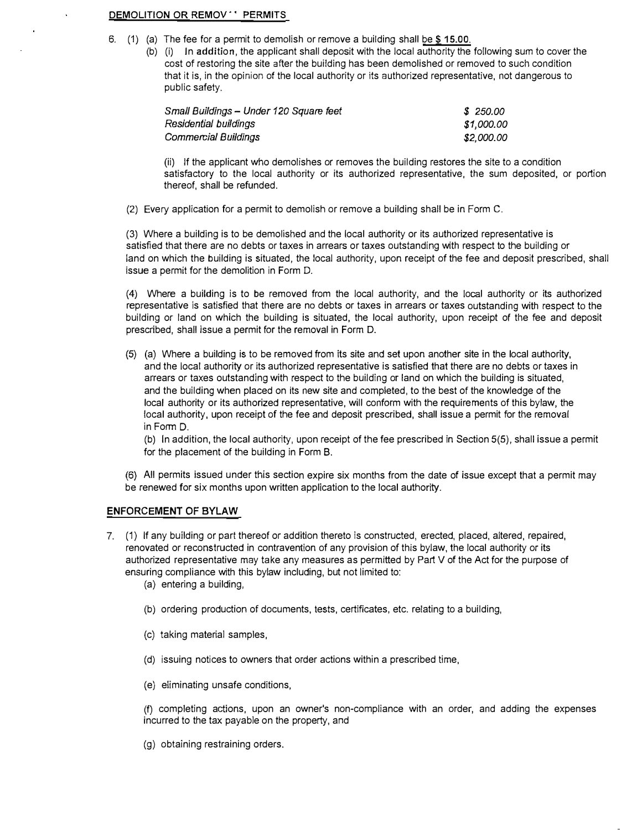## **DEMOLITION OR REMOV.' PERMITS**

- 6. (1) (a) The fee for a permit to demolish or remove a building shall be\$ **15.00.**
	- (b) (i) In addition, the applicant shall deposit with the local authority the following sum to cover the cost of restoring the site after the building has been demolished or removed to such condition that it is, in the opinion of the local authority or its authorized representative, not dangerous to public safety.

| Small Buildings - Under 120 Square feet | \$250.00   |
|-----------------------------------------|------------|
| Residential buildings                   | \$1,000.00 |
| <b>Commercial Buildings</b>             | \$2,000.00 |

(ii) If the applicant who demolishes or removes the building restores the site to a condition satisfactory to the local authority or its authorized representative, the sum deposited, or portion thereof, shall be refunded.

(2) Every application for a permit to demolish or remove a building shall be in Form C.

(3) Where a building is to be demolished and the local authority or its authorized representative is satisfied that there are no debts or taxes in arrears or taxes outstanding with respect to the building or land on which the building is situated, the local authority, upon receipt of the fee and deposit prescribed, shall issue a permit for the demolition in Form D.

(4) Where a building is to be removed from the local authority, and the local authority or its authorized representative is satisfied that there are no debts or taxes in arrears or taxes outstanding with respect *to* the building or land on which the building is situated, the local authority, upon receipt of the fee and deposit prescribed, shall issue a permit for the removal in Form D.

(5) (a) Where a building is to be removed from its site and set upon another site in the local authority, and the local authority or its authorized representative is satisfied that there are no debts or taxes in arrears or taxes outstanding with respect to the building or land on which the building is situated, and the building when placed on its new site and completed, to the best of the knowledge of the local authority or its authorized representative, will conform with the requirements of this bylaw, the local authority, upon receipt of the fee and deposit prescribed, shall issue a permit for the removal in Form D.

(b) In addition, the local authority, upon receipt of the fee prescribed in Section 5(5), shall issue a permit for the placement of the building in Form B.

(6) All permits issued under this section expire six months from the date of issue except that a permit may be renewed for six months upon written application to the local authority.

# **ENFORCEMENT OF BYLAW**

- 7. (1) If any building or part thereof or addition thereto is constructed, erected, placed, altered, repaired, renovated or reconstructed in contravention of any provision of this bylaw, the local authority or its authorized representative may take any measures as permitted by Part V of the Act for the purpose of ensuring compliance with this bylaw including, but not limited to:
	- (a) entering a building,
	- (b) ordering production of documents, tests, certificates, etc. relating to a building,
	- (c) taking material samples,
	- (d) issuing notices to owners that order actions within a prescribed time,
	- (e) eliminating unsafe conditions,

(f) completing actions, upon an owner's non-compliance with an order, and adding the expenses incurred to the tax payable on the property, and

(g) obtaining restraining orders.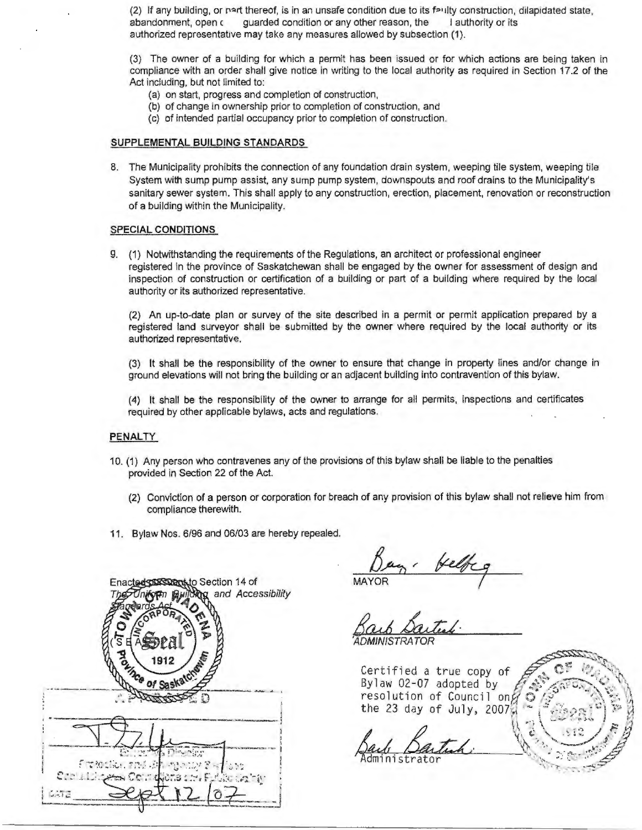(2) If any building, or nart thereof, is in an unsafe condition due to its faulty construction, dilapidated state, abandonment, open c guarded condition or any other reason, the I authority or its authorized representative may take any measures allowed by subsection (1).

(3) The owner of a building for which a permit has been issued or for which actions are being taken in compliance with an order shall give notice in writing *to* the local authority as required in Section 17.2 of the Act including, but not limited to:

- (a) on start, progress and completion of construction,
- {b) of change in ownership prior to completion of construction, and
- (c) of intended partial occupancy prior to completion of construction.

## **SUPPLEMENTAL BUILDING STANDARDS**

8. The Municipality prohibits the connection of any foundation drain system, weeping tile system, weeping tile System with sump pump assist, any sump pump system, downspouts and roof drains to the Municipality's sanitary sewer system. This shall apply to any construction, erection, placement, renovation or reconstruction of a building within the Municipality.

## **SPECIAL CONDITIONS**

9. (1) Notwithstanding the requirements of the Regulations, an architect or professional engineer registered in the province of Saskatchewan shall be engaged by the owner for assessment of design and inspection of construction or certification of a building or part of a building where required by the local authority or its authorized representative.

(2) An up-to-date plan or survey of the site described in a permit or permit application prepared by a registered land surveyor shall be submitted by the owner where required by the local authority or its authorized representative.

(3) It shall be the responsibility of the owner to ensure that change in property lines and/or change in ground elevations will not bring the building or an adjacent building into contravention of this bylaw.

(4) It shall be the responsibility of the owner to arrange for all permits, inspections and certificates required by other applicable bylaws, acts and regulations.

# **PENALTY**

- 10. (1) Any person who contravenes any of the provisions of this bylaw shall be liable to the penalties provided in Section 22 of the Act.
	- (2) Conviction of a person or corporation for breach of any provision of this bylaw shall not relieve him from compliance therewith.
- 11 . Bylaw Nos. 6/96 and 06/03 are hereby repealed.



MAYOR

DMINISTRA

Certified a true copy of Bylaw 02-07 adopted by resolution of Council ong the 23 day of July, 2007.

ministrator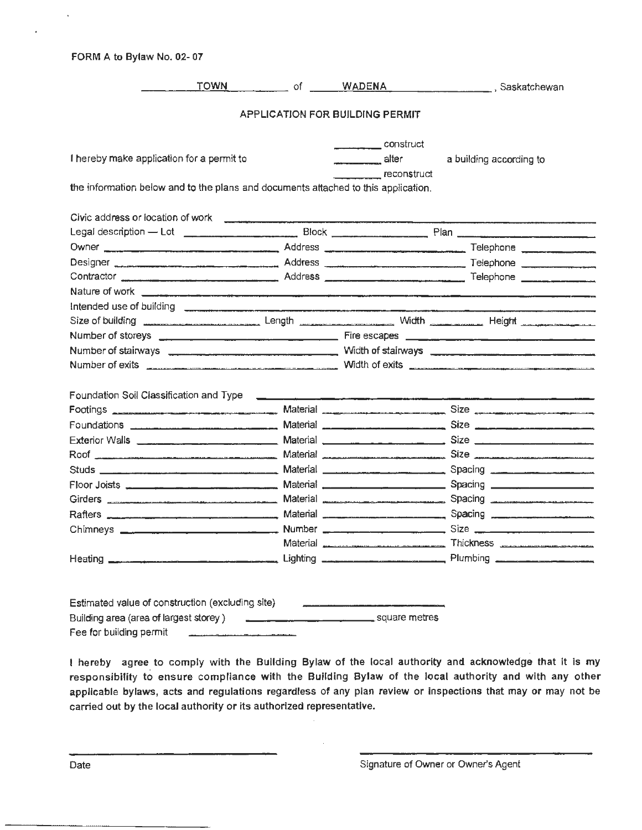**FORM A to Bylaw No. 02- 07** 

|                                           | <b>TOWN</b>                                                                                                                                                                                                                         |                                                      |                                                                                                                                                                                                                                                                                  |
|-------------------------------------------|-------------------------------------------------------------------------------------------------------------------------------------------------------------------------------------------------------------------------------------|------------------------------------------------------|----------------------------------------------------------------------------------------------------------------------------------------------------------------------------------------------------------------------------------------------------------------------------------|
|                                           |                                                                                                                                                                                                                                     | <b>APPLICATION FOR BUILDING PERMIT</b>               |                                                                                                                                                                                                                                                                                  |
| I hereby make application for a permit to |                                                                                                                                                                                                                                     | construct<br>alter<br><u>___________</u> reconstruct | a building according to                                                                                                                                                                                                                                                          |
|                                           | the information below and to the plans and documents attached to this application.                                                                                                                                                  |                                                      |                                                                                                                                                                                                                                                                                  |
|                                           |                                                                                                                                                                                                                                     |                                                      |                                                                                                                                                                                                                                                                                  |
|                                           |                                                                                                                                                                                                                                     |                                                      |                                                                                                                                                                                                                                                                                  |
|                                           |                                                                                                                                                                                                                                     |                                                      |                                                                                                                                                                                                                                                                                  |
|                                           |                                                                                                                                                                                                                                     |                                                      | Designer Telephone Telephone Contact Contact Address Contact Address Contact Telephone Contact Telephone                                                                                                                                                                         |
|                                           |                                                                                                                                                                                                                                     |                                                      | Contractor <b>Contractor</b> Contractor <b>Contractor Contractor Contractor Contractor Contractor Contractor Contractor Contractor Contractor Contractor Contractor Contractor Contractor Contractor Cont</b>                                                                    |
|                                           |                                                                                                                                                                                                                                     |                                                      |                                                                                                                                                                                                                                                                                  |
|                                           | Intended use of building expression and the contract of the building                                                                                                                                                                |                                                      |                                                                                                                                                                                                                                                                                  |
|                                           |                                                                                                                                                                                                                                     |                                                      | Size of building <b>was a support of the server of the server of the server of the server of the server of the server of the server of the server of the server of the server of the server of the server of the server of the s</b>                                             |
|                                           |                                                                                                                                                                                                                                     |                                                      |                                                                                                                                                                                                                                                                                  |
|                                           |                                                                                                                                                                                                                                     |                                                      | Number of stairways <b>example and all and stairways</b> Width of stairways <b>example and all and state of stairways</b>                                                                                                                                                        |
|                                           |                                                                                                                                                                                                                                     |                                                      | Number of exits <b>All and Structure of the Contract of the Contract of the Contract of the Contract of the Contract of the Contract of the Contract of the Contract of the Contract of the Contract of the Contract of the Cont</b>                                             |
|                                           |                                                                                                                                                                                                                                     |                                                      |                                                                                                                                                                                                                                                                                  |
|                                           | Foundation Soil Classification and Type _______                                                                                                                                                                                     |                                                      |                                                                                                                                                                                                                                                                                  |
|                                           |                                                                                                                                                                                                                                     |                                                      | Footings <b>Ally 2008</b> Material <b>Material</b> Size Size                                                                                                                                                                                                                     |
|                                           |                                                                                                                                                                                                                                     |                                                      | Foundations <b>Example 2018</b> Material <b>Material</b> Company Size Size <b>Company Size</b> Size <b>Company Size</b> Size <b>Company Size</b> Size <b>Company Size</b> Size <b>Company Size</b> Size <b>Company Size</b> Size <b>Company Size</b> Size <b>Company Size</b> Si |
|                                           |                                                                                                                                                                                                                                     |                                                      |                                                                                                                                                                                                                                                                                  |
|                                           |                                                                                                                                                                                                                                     |                                                      | Roof <del>the company of the company states of the company manual contract of the company contract of the company of the contract of the contract of the contract of the contract of the contract of the contract of the contract </del>                                         |
|                                           |                                                                                                                                                                                                                                     |                                                      |                                                                                                                                                                                                                                                                                  |
|                                           |                                                                                                                                                                                                                                     |                                                      |                                                                                                                                                                                                                                                                                  |
|                                           |                                                                                                                                                                                                                                     |                                                      | Girders Communication of Material Communication Spacing Communication of Spacing Communication of Spacing Communication of Material Communication of Spacing Communication of Spacing Communication of Spacing Communication o                                                   |
|                                           |                                                                                                                                                                                                                                     |                                                      | Rafters <b>Example 2018</b> Material <b>Material Material Example 2019</b> Spacing <b>Example 2019</b> Spacing <b>Example 2019</b>                                                                                                                                               |
|                                           |                                                                                                                                                                                                                                     |                                                      |                                                                                                                                                                                                                                                                                  |
|                                           |                                                                                                                                                                                                                                     |                                                      |                                                                                                                                                                                                                                                                                  |
|                                           |                                                                                                                                                                                                                                     |                                                      |                                                                                                                                                                                                                                                                                  |
|                                           |                                                                                                                                                                                                                                     |                                                      |                                                                                                                                                                                                                                                                                  |
|                                           |                                                                                                                                                                                                                                     |                                                      |                                                                                                                                                                                                                                                                                  |
|                                           |                                                                                                                                                                                                                                     |                                                      |                                                                                                                                                                                                                                                                                  |
|                                           |                                                                                                                                                                                                                                     |                                                      |                                                                                                                                                                                                                                                                                  |
|                                           | Fee for building permit <b>Communication</b> of the communication of the communication of the communication of the communication of the communication of the communication of the communication of the communication of the communi |                                                      |                                                                                                                                                                                                                                                                                  |

I hereby agree to comply with the Building Bylaw of the local authority and acknowledge that it is my responsibility to ensure compliance with the Building Bylaw of the local authority and with any other applicable bylaws, acts and regulations regardless of any plan review or inspections that may or may not be carried out by the local authority or its authorized representative.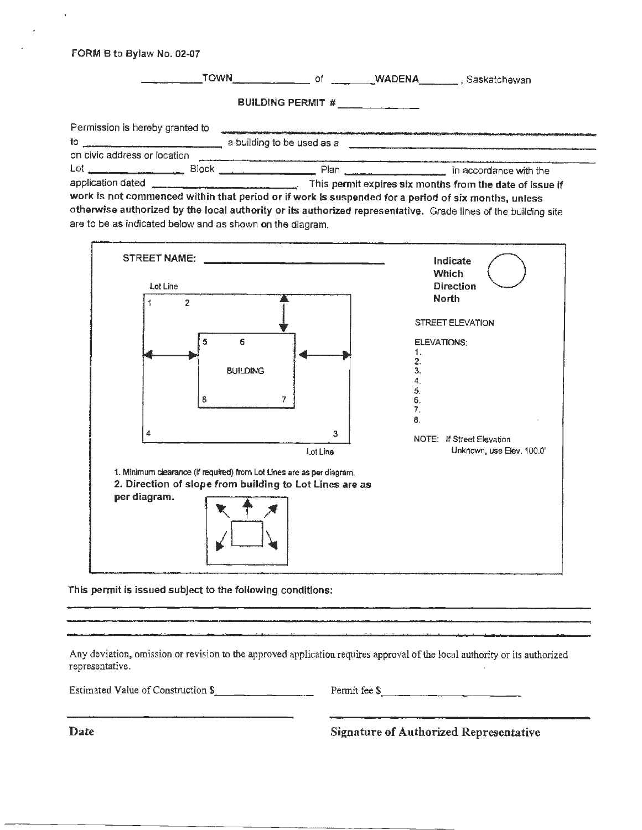|                                                                                                                                     | <b>TOWN</b>                | 0f |                                                                                                                 | WADENA Saskatchewan                                      |
|-------------------------------------------------------------------------------------------------------------------------------------|----------------------------|----|-----------------------------------------------------------------------------------------------------------------|----------------------------------------------------------|
|                                                                                                                                     | BUILDING PERMIT #          |    |                                                                                                                 |                                                          |
| Permission is hereby granted to<br>to                                                                                               | a building to be used as a |    |                                                                                                                 |                                                          |
| on civic address or location                                                                                                        |                            |    |                                                                                                                 |                                                          |
| $\mathsf{Lot}$ and $\mathsf{Lot}$ and $\mathsf{Hot}$                                                                                | Block                      |    | Plan in the control of the control of the control of the control of the control of the control of the control o | in accordance with the                                   |
| application dated<br>work is not commonood within that posical online is work in a sense of development of the second $\mathcal{L}$ |                            |    |                                                                                                                 | This permit expires six months from the date of issue if |

work is not commenced within that period or if work is suspended for a period of six months, unless otherwise authorized by the local authority or its authorized representative. Grade lines of the building site are to be as indicated below and as shown on the diagram.



This permit is issued subject to the following conditions:

Any deviation, omission or revision to the approved application requires approval of the local authority or its authorized representative.

Estimated Value of Construction  $\frac{1}{2}$  \_\_\_\_\_\_\_\_\_\_\_\_\_\_ Permit fee  $\frac{1}{2}$ 

**Date Signature of Authorized Representative**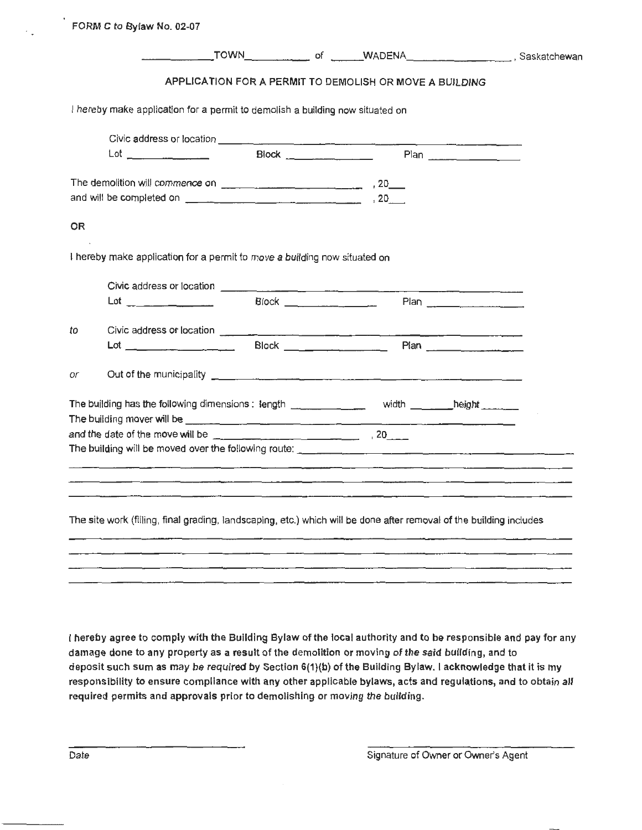|  | APPLICATION FOR A PERMIT TO DEMOLISH OR MOVE A BUILDING<br>I hereby make application for a permit to demolish a building now situated on<br>I hereby make application for a permit to move a building now situated on<br>Civic address or location <b>contained a contained and contained a contact of the contact of the contact of the contact of the contact of the contact of the contact of the contact of the contact of the contact of the contact</b><br>The building has the following dimensions: length ________________ width _______height ______ |
|--|----------------------------------------------------------------------------------------------------------------------------------------------------------------------------------------------------------------------------------------------------------------------------------------------------------------------------------------------------------------------------------------------------------------------------------------------------------------------------------------------------------------------------------------------------------------|

The site work (filling, final grading, landscaping, etc.) which will be done after removal of the building includes

I hereby agree to comply with the Building Bylaw of the local authority and to be responsible and pay for any damage done to any property as a result of the demolition or moving of the said building, and to deposit such sum as may be required by Section 6(1)(b) of the Building Bylaw. I acknowledge that it is my responsibility to ensure compliance with any other applicable bylaws, acts and regulations, and to obtain all required permits and approvals prior to demolishing or moving the building.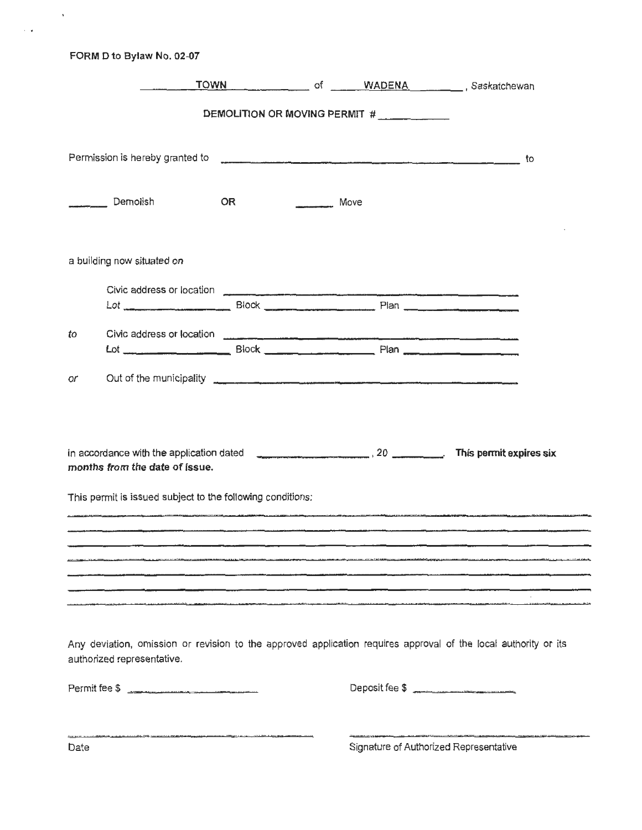| FORM D to Bylaw No. 02-07                                                                                                                                                                                                      |                               |               |                                                                                                                                                                                                                                |                                                      |  |
|--------------------------------------------------------------------------------------------------------------------------------------------------------------------------------------------------------------------------------|-------------------------------|---------------|--------------------------------------------------------------------------------------------------------------------------------------------------------------------------------------------------------------------------------|------------------------------------------------------|--|
|                                                                                                                                                                                                                                |                               |               |                                                                                                                                                                                                                                | TOWN of WADENA Resistance and Saskatchewan           |  |
|                                                                                                                                                                                                                                | DEMOLITION OR MOVING PERMIT # |               |                                                                                                                                                                                                                                |                                                      |  |
| Permission is hereby granted to entertainment and the contract of the contract of the contract of the contract of the contract of the contract of the contract of the contract of the contract of the contract of the contract |                               |               |                                                                                                                                                                                                                                |                                                      |  |
| Demolish                                                                                                                                                                                                                       | 0R                            | $\frac{1}{2}$ | Move                                                                                                                                                                                                                           |                                                      |  |
| a building now situated on                                                                                                                                                                                                     |                               |               |                                                                                                                                                                                                                                |                                                      |  |
| Civic address or location experience and contract the contract of the contract of the contract of the contract of                                                                                                              |                               |               |                                                                                                                                                                                                                                |                                                      |  |
| Civic address or location <b>contains and container and container and container and container and container and</b><br>to                                                                                                      |                               |               |                                                                                                                                                                                                                                |                                                      |  |
| Out of the municipality <b>contained a contained a contact of the municipality contained by the contact of the municipality</b><br>or                                                                                          |                               |               |                                                                                                                                                                                                                                |                                                      |  |
| in accordance with the application dated 20 This permit expires six<br>months from the date of issue.                                                                                                                          |                               |               |                                                                                                                                                                                                                                |                                                      |  |
| This permit is issued subject to the following conditions:                                                                                                                                                                     |                               |               | .<br>В станой сементивной войной приводительность и возможных соотнованиях совершенного и от деревности и не можно постоя                                                                                                      |                                                      |  |
|                                                                                                                                                                                                                                |                               |               |                                                                                                                                                                                                                                |                                                      |  |
|                                                                                                                                                                                                                                |                               |               |                                                                                                                                                                                                                                |                                                      |  |
|                                                                                                                                                                                                                                |                               |               | The State of the State of the Control of The State of Control of the State of the State of the State of the State of the State of the State of the State of the State of the State of the State of the State of the State of t |                                                      |  |
| Any deviation, omission or revision to the approved application requires approval of the local authority or its<br>authorized representative.                                                                                  |                               |               |                                                                                                                                                                                                                                |                                                      |  |
|                                                                                                                                                                                                                                |                               |               | Deposit fee \$                                                                                                                                                                                                                 |                                                      |  |
| 2012, Independent of the process and process content processes in the processes of the content of the content of the content of the content of the content of the content of the content of the content of the content of the  |                               |               |                                                                                                                                                                                                                                | THE R. P. LEWIS CO., LANSING, MICH. 49-14039-1-120-2 |  |

Date **Signature of Authorized Representative** 

 $\sim$ 

 $\sim$   $\star$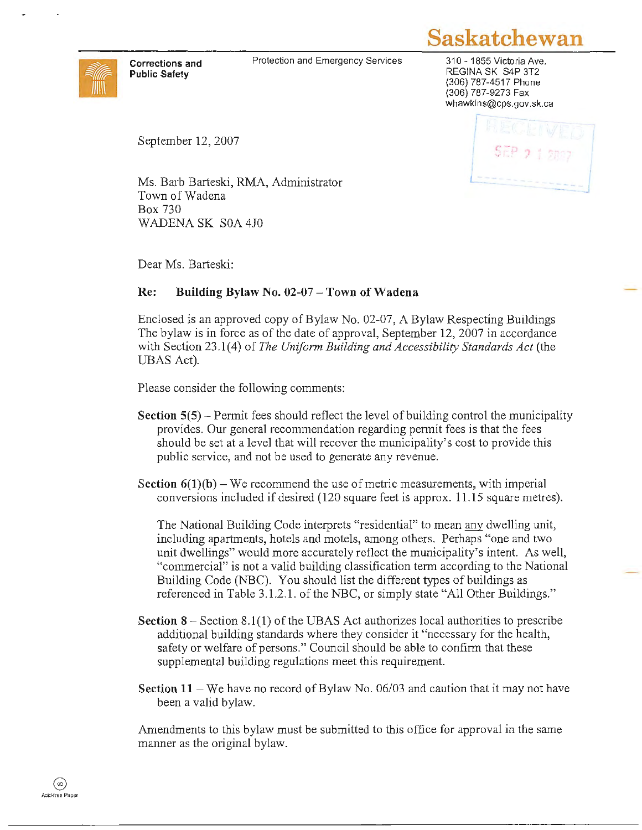

**Corrections and Public Safety** 

Protection and Emergency Services



310-1855 Victoria Ave. REGINA SK S4P 3T2 (306) 787-4517 Phone (306) 787-9273 Fax whawkins@cps.gov.sk.ca

 $\mathcal{C}^{\ast}$ 

**L** 

. September 12, 2007

Ms. Barb Barteski, RMA, Administrator Town of Wadena Box 730 WADENA SK S0A 4JO

Dear Ms. Barteski:

# **Re: Building Bylaw No. 02-07 -Town of Wadena**

Enclosed is an approved copy of Bylaw No. 02-07, A Bylaw Respecting Buildings The bylaw is in force as of the date of approval, September 12, 2007 in accordance with Section 23.1(4) of *The Uniform Building and Accessibility Standards Act* (the UBAS Act).

Please consider the following comments:

- **Section 5(5}**  Permit fees should reflect the level of building control the municipality provides. Our general recommendation regarding permit fees is that the fees should be set at a level that will recover the municipality's cost to provide this public service, and not be used to generate any revenue.
- **Section**  $6(1)(b)$  We recommend the use of metric measurements, with imperial conversions included if desired (120 square feet is approx. **11.15** square metres).

The National Building Code interprets "residential" to mean any dwelling unit, including apartments, hotels and motels, among others. Perhaps "one and two unit dwellings" would more accurately reflect the municipality's intent. As well, "commercial" is not a valid building classification term according to the National Building Code (NBC). You should list the different types of buildings as referenced in Table 3.1.2.1. of the NBC, or simply state "All Other Buildings."

- **Section 8** Section 8.1(1) of the UBAS Act authorizes local authorities to prescribe additional building standards where they consider it "necessary for the health, safety or welfare of persons." Council should be able to confirm that these supplemental building regulations meet this requirement.
- **Section 11** We have no record of Bylaw No. 06/03 and caution that it may not have been a valid bylaw.

Amendments to this bylaw must be submitted to this office for approval in the same manner as the original bylaw.